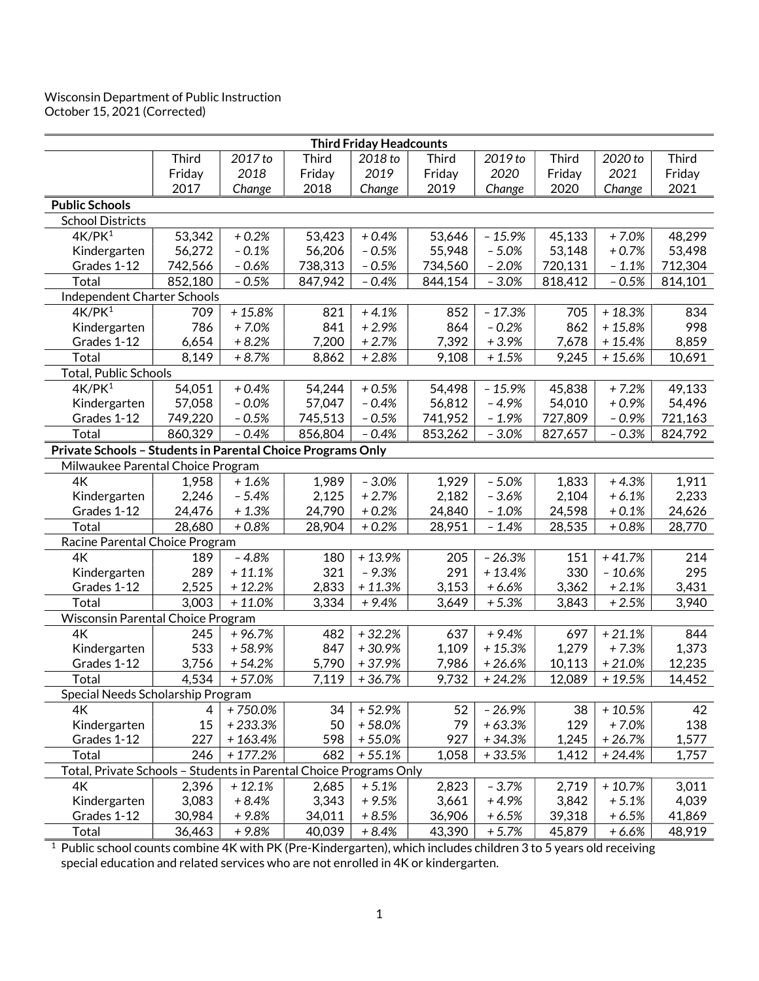## Wisconsin Department of Public Instruction October 15, 2021 (Corrected)

| <b>Third Friday Headcounts</b>                                     |              |           |              |          |              |          |              |          |              |  |  |
|--------------------------------------------------------------------|--------------|-----------|--------------|----------|--------------|----------|--------------|----------|--------------|--|--|
|                                                                    | <b>Third</b> | 2017 to   | <b>Third</b> | 2018 to  | <b>Third</b> | 2019 to  | <b>Third</b> | 2020 to  | <b>Third</b> |  |  |
|                                                                    | Friday       | 2018      | Friday       | 2019     | Friday       | 2020     | Friday       | 2021     | Friday       |  |  |
|                                                                    | 2017         | Change    | 2018         | Change   | 2019         | Change   | 2020         | Change   | 2021         |  |  |
| <b>Public Schools</b>                                              |              |           |              |          |              |          |              |          |              |  |  |
| <b>School Districts</b>                                            |              |           |              |          |              |          |              |          |              |  |  |
| 4K/PK <sup>1</sup>                                                 | 53,342       | $+0.2%$   | 53,423       | $+0.4%$  | 53,646       | $-15.9%$ | 45,133       | $+7.0%$  | 48,299       |  |  |
| Kindergarten                                                       | 56,272       | $-0.1%$   | 56,206       | $-0.5%$  | 55,948       | $-5.0%$  | 53,148       | $+0.7%$  | 53,498       |  |  |
| Grades 1-12                                                        | 742,566      | $-0.6%$   | 738,313      | $-0.5%$  | 734,560      | $-2.0%$  | 720,131      | $-1.1%$  | 712,304      |  |  |
| Total                                                              | 852,180      | $-0.5%$   | 847,942      | $-0.4%$  | 844,154      | $-3.0%$  | 818,412      | $-0.5%$  | 814,101      |  |  |
| Independent Charter Schools                                        |              |           |              |          |              |          |              |          |              |  |  |
| 4K/PK <sup>1</sup>                                                 | 709          | $+15.8%$  | 821          | $+4.1%$  | 852          | $-17.3%$ | 705          | $+18.3%$ | 834          |  |  |
| Kindergarten                                                       | 786          | $+7.0%$   | 841          | $+2.9%$  | 864          | $-0.2%$  | 862          | $+15.8%$ | 998          |  |  |
| Grades 1-12                                                        | 6,654        | $+8.2%$   | 7,200        | $+2.7%$  | 7,392        | $+3.9%$  | 7,678        | $+15.4%$ | 8,859        |  |  |
| Total                                                              | 8,149        | $+8.7%$   | 8,862        | $+2.8%$  | 9,108        | $+1.5%$  | 9,245        | $+15.6%$ | 10,691       |  |  |
| <b>Total, Public Schools</b>                                       |              |           |              |          |              |          |              |          |              |  |  |
| 4K/PK <sup>1</sup>                                                 | 54,051       | $+0.4%$   | 54,244       | $+0.5%$  | 54,498       | $-15.9%$ | 45,838       | $+7.2%$  | 49,133       |  |  |
| Kindergarten                                                       | 57,058       | $-0.0%$   | 57,047       | $-0.4%$  | 56,812       | $-4.9%$  | 54,010       | $+0.9%$  | 54,496       |  |  |
| Grades 1-12                                                        | 749,220      | $-0.5%$   | 745,513      | $-0.5%$  | 741,952      | $-1.9%$  | 727,809      | $-0.9%$  | 721,163      |  |  |
| Total                                                              | 860,329      | $-0.4%$   | 856,804      | $-0.4%$  | 853,262      | $-3.0%$  | 827,657      | $-0.3%$  | 824,792      |  |  |
| Private Schools - Students in Parental Choice Programs Only        |              |           |              |          |              |          |              |          |              |  |  |
| Milwaukee Parental Choice Program                                  |              |           |              |          |              |          |              |          |              |  |  |
| 4K                                                                 | 1,958        | $+1.6%$   | 1,989        | $-3.0%$  | 1,929        | $-5.0%$  | 1,833        | $+4.3%$  | 1,911        |  |  |
| Kindergarten                                                       | 2,246        | $-5.4%$   | 2,125        | $+2.7%$  | 2,182        | $-3.6%$  | 2,104        | $+6.1%$  | 2,233        |  |  |
| Grades 1-12                                                        | 24,476       | $+1.3%$   | 24,790       | $+0.2%$  | 24,840       | $-1.0%$  | 24,598       | $+0.1%$  | 24,626       |  |  |
| Total                                                              | 28,680       | $+0.8%$   | 28,904       | $+0.2%$  | 28,951       | $-1.4%$  | 28,535       | $+0.8%$  | 28,770       |  |  |
| Racine Parental Choice Program                                     |              |           |              |          |              |          |              |          |              |  |  |
| 4K                                                                 | 189          | $-4.8%$   | 180          | $+13.9%$ | 205          | $-26.3%$ | 151          | $+41.7%$ | 214          |  |  |
| Kindergarten                                                       | 289          | $+11.1%$  | 321          | $-9.3%$  | 291          | $+13.4%$ | 330          | $-10.6%$ | 295          |  |  |
| Grades 1-12                                                        | 2,525        | $+12.2%$  | 2,833        | $+11.3%$ | 3,153        | $+6.6%$  | 3,362        | $+2.1%$  | 3,431        |  |  |
| Total                                                              | 3,003        | $+11.0%$  | 3,334        | $+9.4%$  | 3,649        | $+5.3%$  | 3,843        | $+2.5%$  | 3,940        |  |  |
| Wisconsin Parental Choice Program                                  |              |           |              |          |              |          |              |          |              |  |  |
| 4K                                                                 | 245          | $+96.7%$  | 482          | $+32.2%$ | 637          | $+9.4%$  | 697          | $+21.1%$ | 844          |  |  |
| Kindergarten                                                       | 533          | $+58.9%$  | 847          | $+30.9%$ | 1,109        | $+15.3%$ | 1,279        | $+7.3%$  | 1,373        |  |  |
| Grades 1-12                                                        | 3,756        | $+54.2%$  | 5,790        | $+37.9%$ | 7,986        | $+26.6%$ | 10,113       | $+21.0%$ | 12,235       |  |  |
| Total                                                              | 4,534        | $+57.0%$  | 7,119        | $+36.7%$ | 9,732        | $+24.2%$ | 12,089       | $+19.5%$ | 14,452       |  |  |
| Special Needs Scholarship Program                                  |              |           |              |          |              |          |              |          |              |  |  |
| 4K                                                                 | 4            | +750.0%   | 34           | $+52.9%$ | 52           | $-26.9%$ | 38           | $+10.5%$ | 42           |  |  |
| Kindergarten                                                       | 15           | $+233.3%$ | 50           | $+58.0%$ | 79           | $+63.3%$ | 129          | $+7.0%$  | 138          |  |  |
| Grades 1-12                                                        | 227          | $+163.4%$ | 598          | $+55.0%$ | 927          | $+34.3%$ | 1,245        | $+26.7%$ | 1,577        |  |  |
| Total                                                              | 246          | $+177.2%$ | 682          | $+55.1%$ | 1,058        | $+33.5%$ | 1,412        | $+24.4%$ | 1,757        |  |  |
| Total, Private Schools - Students in Parental Choice Programs Only |              |           |              |          |              |          |              |          |              |  |  |
| 4K                                                                 | 2,396        | $+12.1%$  | 2,685        | $+5.1%$  | 2,823        | $-3.7%$  | 2,719        | $+10.7%$ | 3,011        |  |  |
| Kindergarten                                                       | 3,083        | $+8.4%$   | 3,343        | $+9.5%$  | 3,661        | $+4.9%$  | 3,842        | $+5.1%$  | 4,039        |  |  |
| Grades 1-12                                                        | 30,984       | $+9.8%$   | 34,011       | $+8.5%$  | 36,906       | $+6.5%$  | 39,318       | $+6.5%$  | 41,869       |  |  |
| Total                                                              | 36,463       | $+9.8%$   | 40,039       | $+8.4%$  | 43,390       | $+5.7%$  | 45,879       | $+6.6%$  | 48,919       |  |  |

 $^{\rm 1}$  Public school counts combine 4K with PK (Pre-Kindergarten), which includes children 3 to 5 years old receiving special education and related services who are not enrolled in 4K or kindergarten.